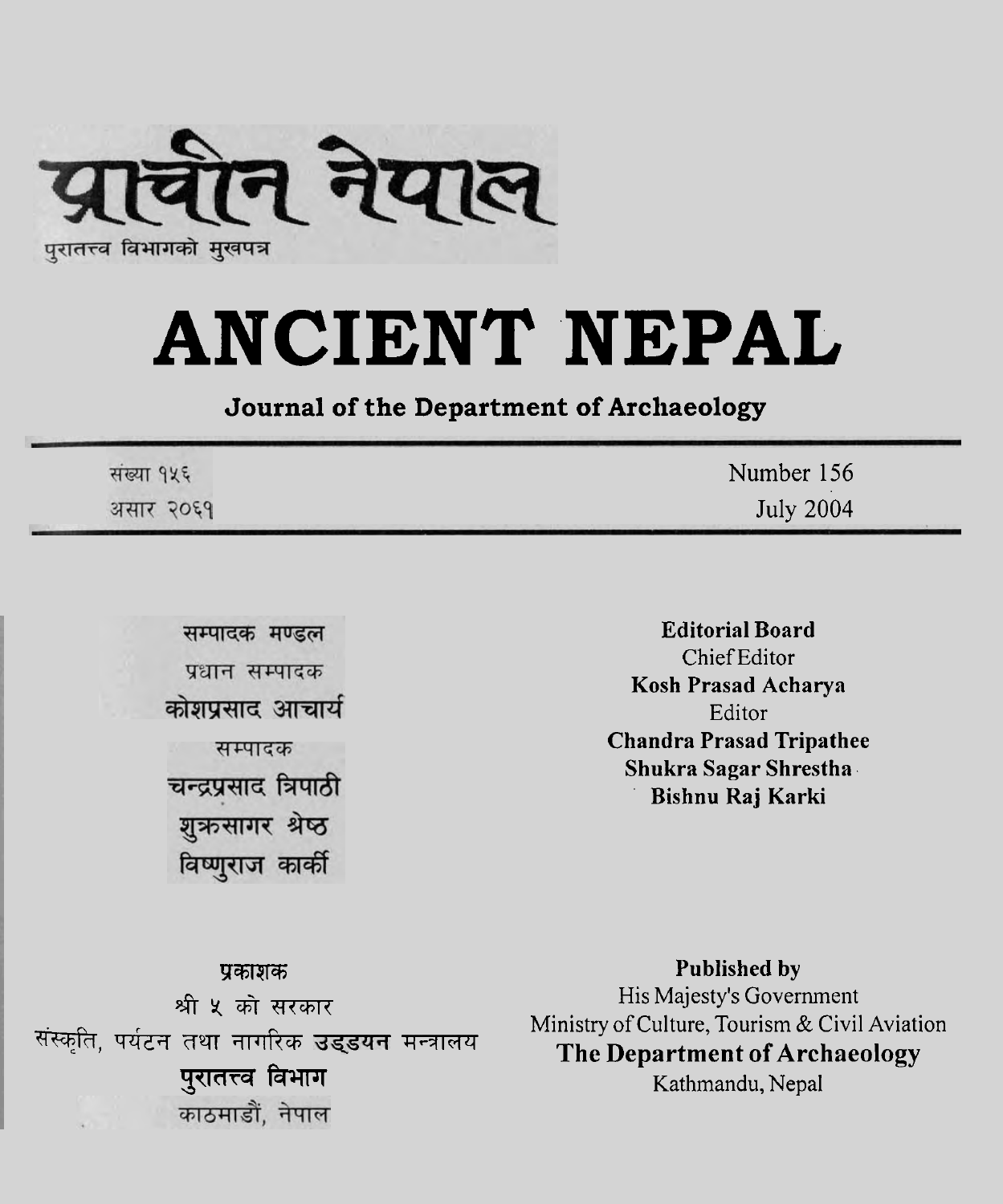

# **ANCIENT NEPAL**

#### **Journal of the Department of Archaeology**

| संख्या १५६ | Number 156       |
|------------|------------------|
| असार २०६१  | <b>July 2004</b> |

सम्पादक मण्डल प्रधान सम्पादक कोशप्रसाद आचार्य सम्पादक चन्द्रप्रसाद त्रिपाठी शुक्रसागर श्रेष्ठ विष्णुराज कार्की

**Editorial Board**  Chief Editor **Kosh Prasad Acharya**  Editor **Chandra Prasad Tripathee Shukra Sagar Shrestha Bishnu Raj Karki** 

F6RT% **Published by w,** Ministry of Culture, Tourism & Civil Aviation पर्यटन तथा नागरिक उड्डयन मन्त्रालय Ministry of Culture, Tourism & Civil Aviation<br>The Department of Archaeology<br>Kathmandu, Nepal

\*y\*m His Majesty's Government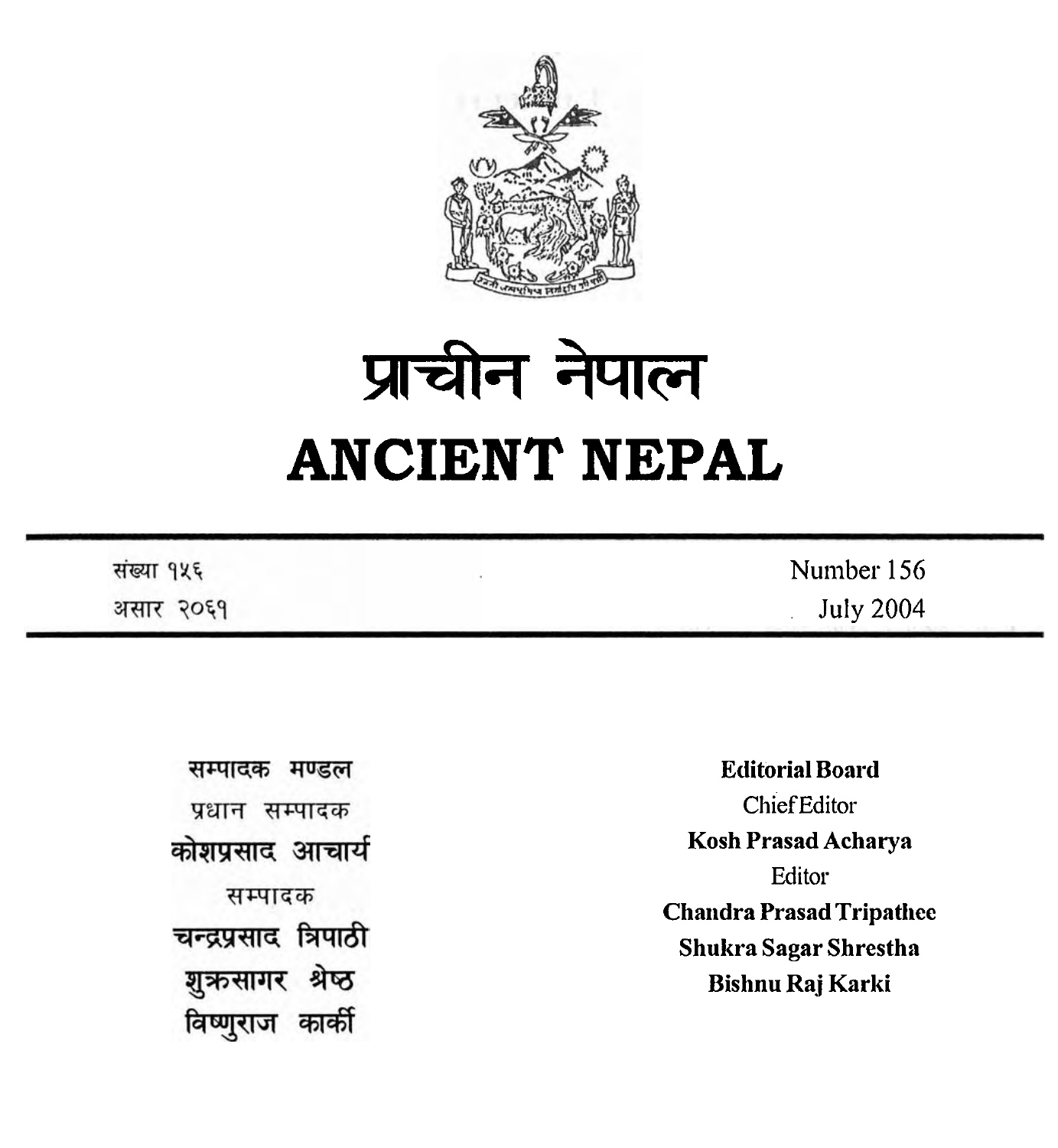

# प्राचीन नेपाल **ANCIENT NEPAL**

| संख्या १५६ | Number 156       |
|------------|------------------|
| असार २०६१  | <b>July 2004</b> |

| मण्डल<br>सम्पादक      | <b>Editorial Board</b>                                   |
|-----------------------|----------------------------------------------------------|
| प्रधान<br>सम्पादक     | <b>Chief Editor</b>                                      |
| कोशप्रसाद आचार्य      | <b>Kosh Prasad Acharya</b>                               |
| सम्पादक               | Editor                                                   |
| चन्द्रप्रसाद त्रिपाठी | <b>Chandra Prasad Tripathee</b><br>Shukra Sagar Shrestha |
| श्रष्ठ<br>शुऋुसागर    | <b>Bishnu Raj Karki</b>                                  |
|                       |                                                          |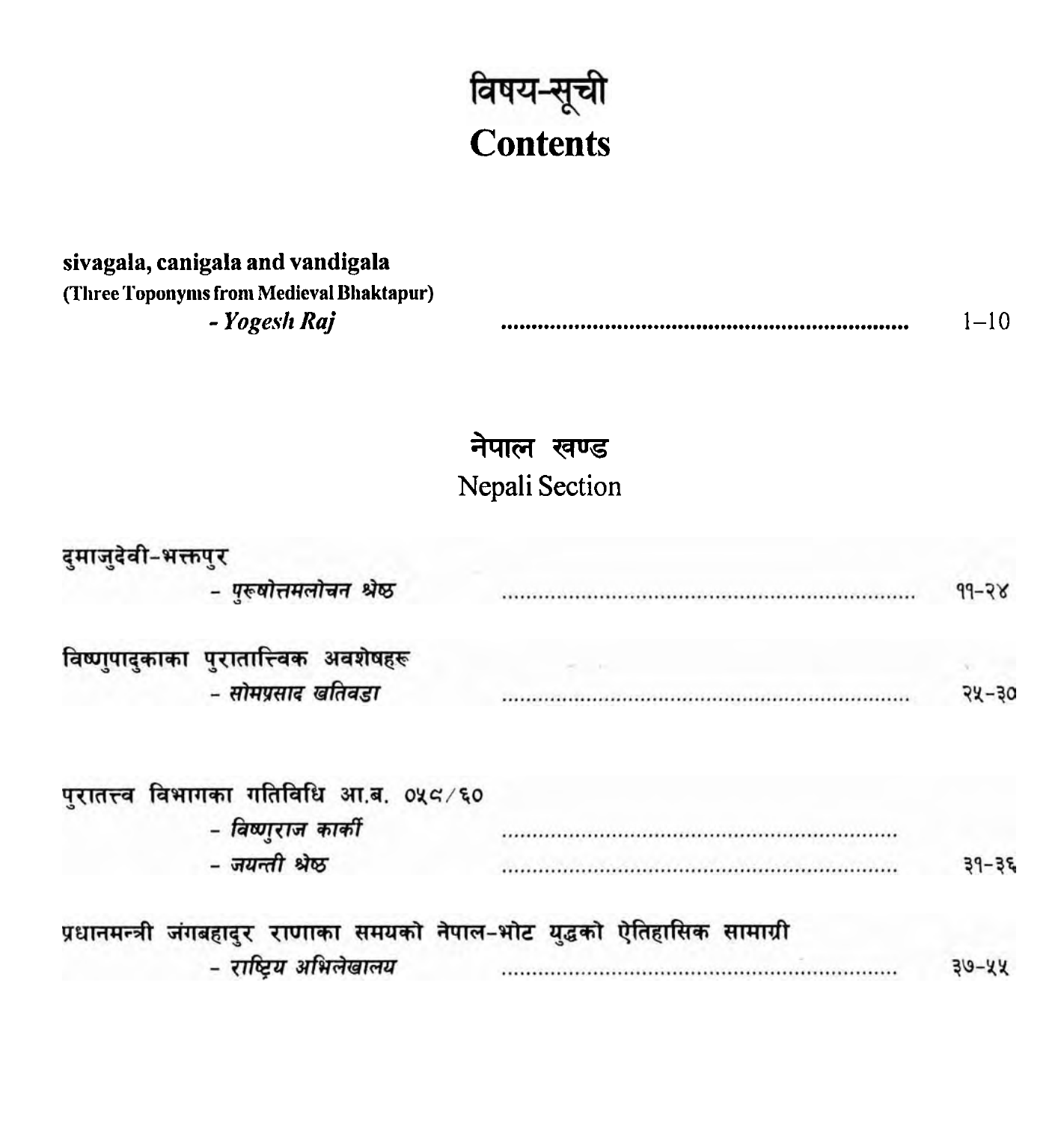

## **sivagala, canigala and vandigala (Three Toponynis from Medieval Bhaktapur)**

#### - *Yogeslr Raj* ................................................................... 1-10

### **नेपाल खण्ड Nepali** Section

| दुमाजुदेवी-भक्तपुर |                                         |                                                                          |           |
|--------------------|-----------------------------------------|--------------------------------------------------------------------------|-----------|
|                    | - पुरूषोत्तमलोचन श्रेष्ठ                |                                                                          | $4d - 5R$ |
|                    | विष्णुपादुकाका पुरातात्त्विक अवशेषहरू   |                                                                          |           |
|                    | - सोमप्रसाद खतिवडा                      |                                                                          | $74 - 30$ |
|                    | पुरातत्त्व विभागका गतिविधि आ.ब. ०५८ ∕६० |                                                                          |           |
|                    | - विष्णुराज कार्की                      |                                                                          |           |
|                    | - जयन्ती श्रेष्ठ                        |                                                                          | $39 - 35$ |
|                    |                                         | प्रधानमन्त्री जंगबहादुर राणाका समयको नेपाल-भोट युद्धको ऐतिहासिक सामाग्री |           |
|                    | - राष्ट्रिय अभिलेखालय                   |                                                                          | $30 - 44$ |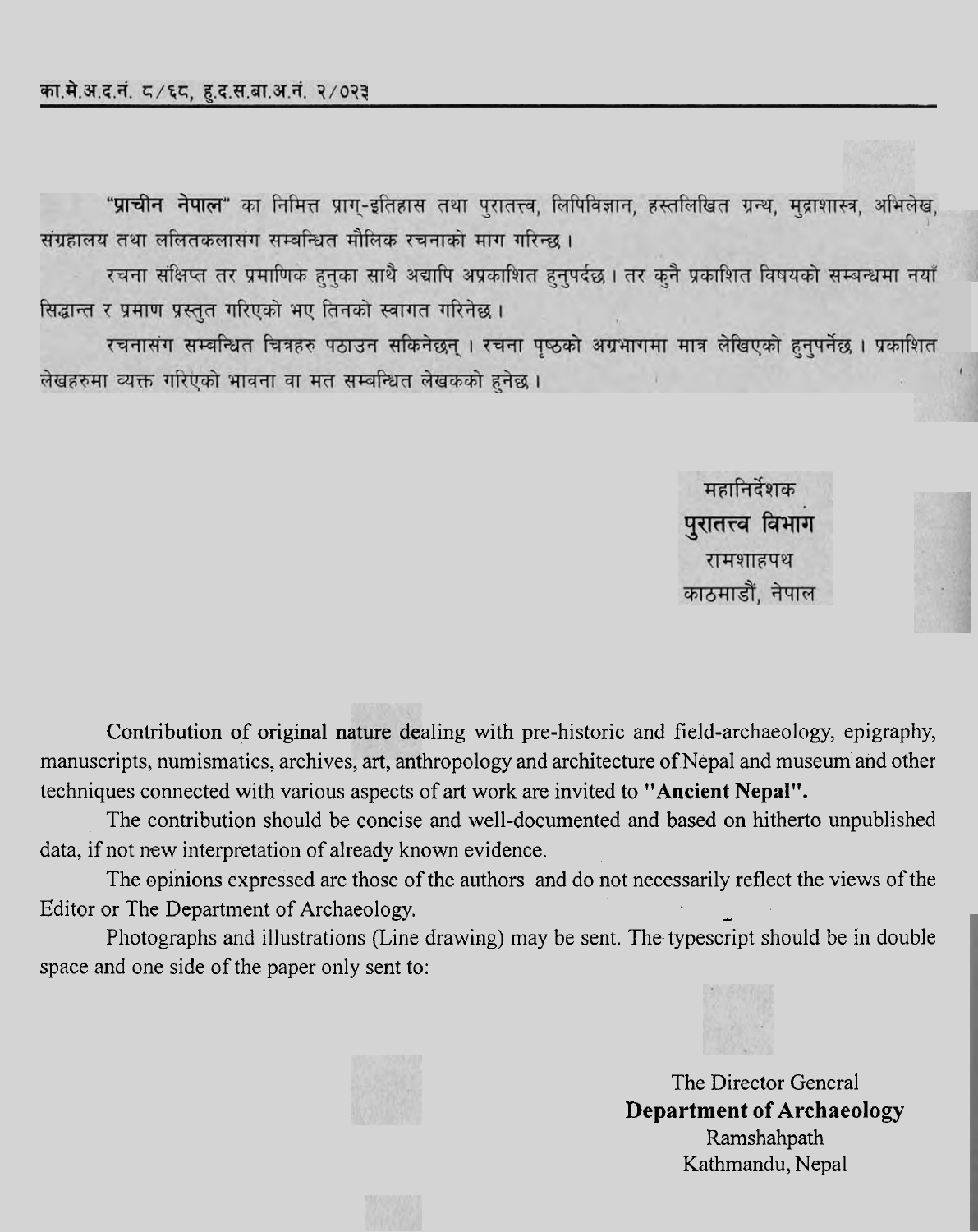"प्राचीन नेपाल" का निमित्त प्राग्-इतिहास तथा पुरातत्त्व, लिपिविज्ञान, हस्तलिखित ग्रन्थ, मुद्राशास्त्र, अभिलेख, संग्रहालय तथा ललितकलासंग सम्बन्धित मौलिक रचनाको माग गरिन्छ ।

रचना संक्षिप्त तर प्रमाणिक हुनुका साथै अद्यापि अप्रकाशित हुनुपर्दछ । तर कुनै प्रकाशित विषयको सम्बन्धमा नयाँ सिद्धान्त र प्रमाण प्रस्तुत गरिएको भए तिनको स्वागत गरिनेछ।

रचनासंग सम्बन्धित चित्रहरु पठाउन सकिनेछन् । रचना पृष्ठको अग्रभागमा मात्र लेखिएको हुनुपर्नेछ । प्रकाशित लेखहरुमा व्यक्त गरिएको भावना वा मत सम्बन्धित लेखकको हुनेछ ।

> महानिर्देशक पुरातत्त्व विभाग रामशाहपथ काठमाडौं, नेपाल

Contribution of original nature dealing with pre-historic and field-archaeology, epigraphy, manuscripts, numismatics, archives, art, anthropology and architecture of Nepal and museum and other techniques connected with various aspects of art work are invited to **"Ancient Nepal".** 

The contribution should be concise and well-documented and based on hitherto unpublished data, if not new interpretation of already known evidence.

The opinions expressed are those of the authors and do not necessarily reflect the views of the Editor or The Department of Archaeology.

Photographs and illustrations (Line drawing) may be sent. The typescript should be in double space and one side of the paper only sent to:



The Director General **Department of Archaeology**  Ramshahpath Kathmandu, Nepal